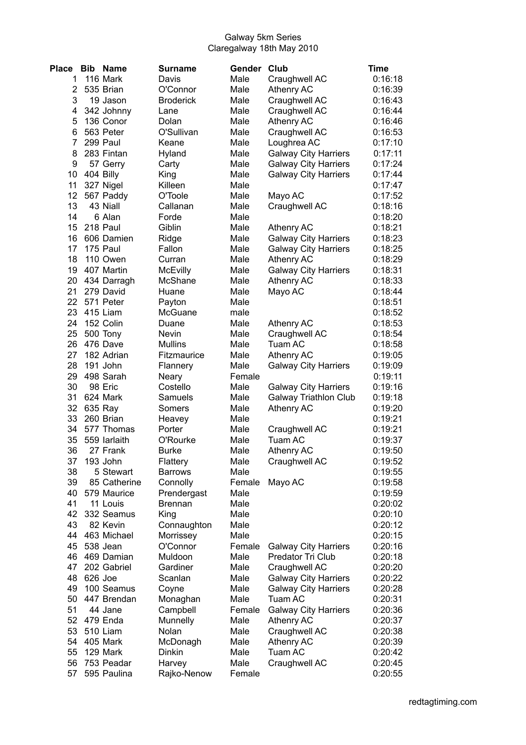| <b>Place</b> | <b>Bib</b> | Name                      | <b>Surname</b>          | Gender       | Club                                   | <b>Time</b>        |
|--------------|------------|---------------------------|-------------------------|--------------|----------------------------------------|--------------------|
| 1            |            | 116 Mark                  | Davis                   | Male         | Craughwell AC                          | 0:16:18            |
| 2            |            | 535 Brian                 | O'Connor                | Male         | <b>Athenry AC</b>                      | 0:16:39            |
| 3            |            | 19 Jason                  | <b>Broderick</b>        | Male         | Craughwell AC                          | 0:16:43            |
| 4            |            | 342 Johnny                | Lane                    | Male         | Craughwell AC                          | 0:16:44            |
| 5            |            | 136 Conor                 | Dolan                   | Male         | <b>Athenry AC</b>                      | 0:16:46            |
| 6            |            | 563 Peter                 | O'Sullivan              | Male         | Craughwell AC                          | 0:16:53            |
| 7            |            | 299 Paul                  | Keane                   | Male         | Loughrea AC                            | 0:17:10            |
| 8            |            | 283 Fintan                | Hyland                  | Male         | <b>Galway City Harriers</b>            | 0:17:11            |
| 9            |            | 57 Gerry                  | Carty                   | Male         | <b>Galway City Harriers</b>            | 0:17:24            |
| 10           |            | 404 Billy                 | King                    | Male         | <b>Galway City Harriers</b>            | 0:17:44            |
| 11           |            | 327 Nigel                 | Killeen                 | Male         |                                        | 0:17:47            |
| 12           |            | 567 Paddy                 | O'Toole                 | Male         | Mayo AC                                | 0:17:52            |
| 13           |            | 43 Niall                  | Callanan                | Male         | Craughwell AC                          | 0:18:16            |
| 14           |            | 6 Alan                    | Forde                   | Male         |                                        | 0:18:20            |
| 15           |            | 218 Paul                  | Giblin                  | Male         | <b>Athenry AC</b>                      | 0:18:21            |
| 16           |            | 606 Damien                | Ridge                   | Male         | <b>Galway City Harriers</b>            | 0:18:23            |
| 17           |            | 175 Paul                  | Fallon                  | Male         | <b>Galway City Harriers</b>            | 0:18:25            |
| 18           |            | 110 Owen                  | Curran                  | Male         | <b>Athenry AC</b>                      | 0:18:29            |
| 19           |            | 407 Martin                | <b>McEvilly</b>         | Male         | <b>Galway City Harriers</b>            | 0:18:31            |
| 20           |            | 434 Darragh               | McShane                 | Male         | Athenry AC                             | 0:18:33            |
| 21           |            | 279 David                 | Huane                   | Male         | Mayo AC                                | 0:18:44            |
| 22           |            | 571 Peter                 | Payton                  | Male         |                                        | 0:18:51            |
| 23           |            | 415 Liam                  | McGuane                 | male         |                                        | 0:18:52            |
| 24           |            | 152 Colin                 | Duane                   | Male         | <b>Athenry AC</b>                      | 0:18:53            |
| 25<br>26     |            | 500 Tony<br>476 Dave      | Nevin<br><b>Mullins</b> | Male<br>Male | Craughwell AC<br>Tuam AC               | 0:18:54<br>0:18:58 |
| 27           |            | 182 Adrian                | Fitzmaurice             | Male         | Athenry AC                             | 0:19:05            |
| 28           |            | 191 John                  | Flannery                | Male         | <b>Galway City Harriers</b>            | 0:19:09            |
| 29           |            | 498 Sarah                 | Neary                   | Female       |                                        | 0:19:11            |
| 30           |            | 98 Eric                   | Costello                | Male         | <b>Galway City Harriers</b>            | 0:19:16            |
| 31           |            | 624 Mark                  | Samuels                 | Male         | <b>Galway Triathlon Club</b>           | 0:19:18            |
| 32           |            | 635 Ray                   | Somers                  | Male         | <b>Athenry AC</b>                      | 0:19:20            |
| 33           |            | 260 Brian                 | Heavey                  | Male         |                                        | 0:19:21            |
| 34           |            | 577 Thomas                | Porter                  | Male         | Craughwell AC                          | 0:19:21            |
| 35           |            | 559 Iarlaith              | O'Rourke                | Male         | Tuam AC                                | 0:19:37            |
| 36           |            | 27 Frank                  | Burke                   | Male         | <b>Athenry AC</b>                      | 0:19:50            |
| 37           |            | 193 John                  | Flattery                | Male         | Craughwell AC                          | 0:19:52            |
| 38           |            | 5 Stewart                 | <b>Barrows</b>          | Male         |                                        | 0:19:55            |
| 39           |            | 85 Catherine              | Connolly                | Female       | Mayo AC                                | 0:19:58            |
| 40           |            | 579 Maurice               | Prendergast             | Male         |                                        | 0:19:59            |
| 41           |            | 11 Louis                  | <b>Brennan</b>          | Male         |                                        | 0:20:02            |
| 42           |            | 332 Seamus                | King                    | Male         |                                        | 0:20:10            |
| 43           |            | 82 Kevin                  | Connaughton             | Male         |                                        | 0:20:12            |
| 44           |            | 463 Michael               | Morrissey               | Male         |                                        | 0:20:15            |
| 45           |            | 538 Jean                  | O'Connor                | Female       | <b>Galway City Harriers</b>            | 0:20:16            |
| 46           |            | 469 Damian<br>202 Gabriel | Muldoon                 | Male         | <b>Predator Tri Club</b>               | 0:20:18            |
| 47<br>48     | 626 Joe    |                           | Gardiner<br>Scanlan     | Male<br>Male | Craughwell AC                          | 0:20:20            |
| 49           |            | 100 Seamus                |                         | Male         | <b>Galway City Harriers</b>            | 0:20:22<br>0:20:28 |
| 50           |            | 447 Brendan               | Coyne                   | Male         | <b>Galway City Harriers</b><br>Tuam AC | 0:20:31            |
| 51           |            | 44 Jane                   | Monaghan<br>Campbell    | Female       | <b>Galway City Harriers</b>            | 0:20:36            |
| 52           |            | 479 Enda                  | Munnelly                | Male         | Athenry AC                             | 0:20:37            |
| 53           |            | 510 Liam                  | Nolan                   | Male         | Craughwell AC                          | 0:20:38            |
| 54           |            | 405 Mark                  | McDonagh                | Male         | Athenry AC                             | 0:20:39            |
| 55           |            | 129 Mark                  | Dinkin                  | Male         | Tuam AC                                | 0:20:42            |
| 56           |            | 753 Peadar                | Harvey                  | Male         | Craughwell AC                          | 0:20:45            |
| 57           |            | 595 Paulina               | Rajko-Nenow             | Female       |                                        | 0:20:55            |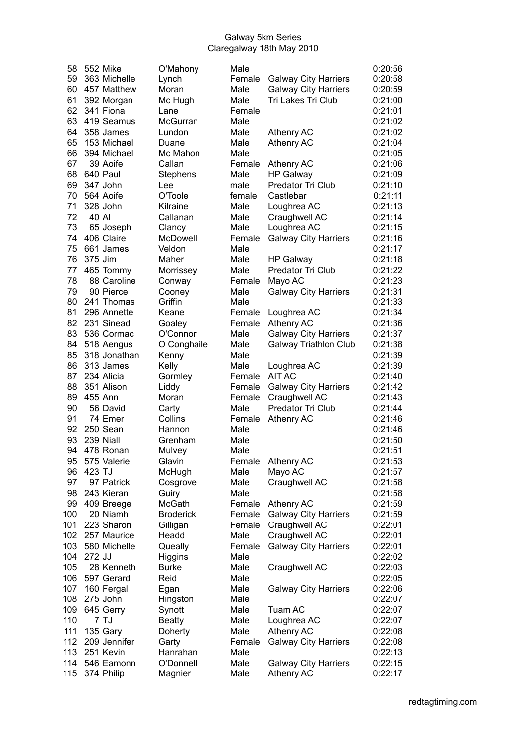| 58  | 552 Mike     | O'Mahony         | Male   |                              | 0:20:56 |
|-----|--------------|------------------|--------|------------------------------|---------|
| 59  | 363 Michelle | Lynch            | Female | <b>Galway City Harriers</b>  | 0:20:58 |
| 60  | 457 Matthew  | Moran            | Male   | <b>Galway City Harriers</b>  | 0:20:59 |
| 61  | 392 Morgan   | Mc Hugh          | Male   | Tri Lakes Tri Club           | 0:21:00 |
| 62  | 341 Fiona    | Lane             | Female |                              | 0:21:01 |
| 63  | 419 Seamus   | McGurran         | Male   |                              | 0:21:02 |
| 64  | 358 James    | Lundon           | Male   | <b>Athenry AC</b>            | 0:21:02 |
| 65  | 153 Michael  | Duane            | Male   | <b>Athenry AC</b>            | 0:21:04 |
| 66  | 394 Michael  | Mc Mahon         | Male   |                              | 0:21:05 |
| 67  | 39 Aoife     | Callan           | Female | <b>Athenry AC</b>            | 0:21:06 |
| 68  | 640 Paul     | Stephens         | Male   | <b>HP Galway</b>             | 0:21:09 |
| 69  | 347 John     | Lee              | male   | Predator Tri Club            | 0:21:10 |
| 70  | 564 Aoife    | O'Toole          | female | Castlebar                    | 0:21:11 |
| 71  | 328 John     | Kilraine         | Male   | Loughrea AC                  | 0:21:13 |
| 72  | 40 Al        | Callanan         | Male   | Craughwell AC                | 0:21:14 |
| 73  | 65 Joseph    | Clancy           | Male   | Loughrea AC                  | 0:21:15 |
| 74  | 406 Claire   | McDowell         | Female | <b>Galway City Harriers</b>  | 0:21:16 |
| 75  | 661 James    | Veldon           | Male   |                              | 0:21:17 |
| 76  | 375 Jim      | Maher            | Male   | <b>HP Galway</b>             | 0:21:18 |
| 77  | 465 Tommy    | Morrissey        | Male   | Predator Tri Club            | 0:21:22 |
| 78  | 88 Caroline  | Conway           | Female | Mayo AC                      | 0:21:23 |
| 79  | 90 Pierce    | Cooney           | Male   | <b>Galway City Harriers</b>  | 0:21:31 |
| 80  | 241 Thomas   | Griffin          | Male   |                              | 0:21:33 |
| 81  | 296 Annette  | Keane            | Female | Loughrea AC                  | 0:21:34 |
| 82  | 231 Sinead   | Goaley           | Female | Athenry AC                   | 0:21:36 |
| 83  | 536 Cormac   | O'Connor         | Male   | <b>Galway City Harriers</b>  | 0:21:37 |
| 84  | 518 Aengus   | O Conghaile      | Male   | <b>Galway Triathlon Club</b> | 0:21:38 |
| 85  | 318 Jonathan | Kenny            | Male   |                              | 0:21:39 |
| 86  | 313 James    | Kelly            | Male   | Loughrea AC                  | 0:21:39 |
| 87  | 234 Alicia   | Gormley          | Female | AIT AC                       | 0:21:40 |
| 88  | 351 Alison   | Liddy            | Female | <b>Galway City Harriers</b>  | 0:21:42 |
| 89  | 455 Ann      | Moran            | Female | Craughwell AC                | 0:21:43 |
| 90  | 56 David     | Carty            | Male   | Predator Tri Club            | 0:21:44 |
| 91  | 74 Emer      | Collins          | Female | Athenry AC                   | 0:21:46 |
| 92  | 250 Sean     | Hannon           | Male   |                              | 0:21:46 |
| 93  | 239 Niall    | Grenham          | Male   |                              | 0:21:50 |
| 94  | 478 Ronan    | Mulvey           | Male   |                              | 0:21:51 |
| 95  | 575 Valerie  | Glavin           | Female | <b>Athenry AC</b>            | 0:21:53 |
| 96  | 423 TJ       | McHugh           | Male   | Mayo AC                      | 0:21:57 |
| 97  | 97 Patrick   | Cosgrove         | Male   | Craughwell AC                | 0:21:58 |
| 98  | 243 Kieran   | Guiry            | Male   |                              | 0:21:58 |
| 99  | 409 Breege   | McGath           | Female | Athenry AC                   | 0:21:59 |
| 100 | 20 Niamh     | <b>Broderick</b> | Female | <b>Galway City Harriers</b>  | 0:21:59 |
| 101 | 223 Sharon   | Gilligan         | Female | Craughwell AC                | 0:22:01 |
| 102 | 257 Maurice  | Headd            | Male   | Craughwell AC                | 0:22:01 |
| 103 | 580 Michelle | Queally          | Female | <b>Galway City Harriers</b>  | 0:22:01 |
| 104 | 272 JJ       | Higgins          | Male   |                              | 0:22:02 |
| 105 | 28 Kenneth   | <b>Burke</b>     | Male   | Craughwell AC                | 0:22:03 |
| 106 | 597 Gerard   | Reid             | Male   |                              | 0:22:05 |
| 107 | 160 Fergal   | Egan             | Male   | <b>Galway City Harriers</b>  | 0:22:06 |
| 108 | 275 John     | Hingston         | Male   |                              | 0:22:07 |
| 109 | 645 Gerry    | Synott           | Male   | <b>Tuam AC</b>               | 0:22:07 |
| 110 | 7 TJ         | <b>Beatty</b>    | Male   | Loughrea AC                  | 0:22:07 |
| 111 | 135 Gary     | Doherty          | Male   | Athenry AC                   | 0:22:08 |
| 112 | 209 Jennifer | Garty            | Female | <b>Galway City Harriers</b>  | 0:22:08 |
| 113 | 251 Kevin    | Hanrahan         | Male   |                              | 0:22:13 |
| 114 | 546 Eamonn   | O'Donnell        | Male   | <b>Galway City Harriers</b>  | 0:22:15 |
| 115 | 374 Philip   | Magnier          | Male   | <b>Athenry AC</b>            | 0:22:17 |
|     |              |                  |        |                              |         |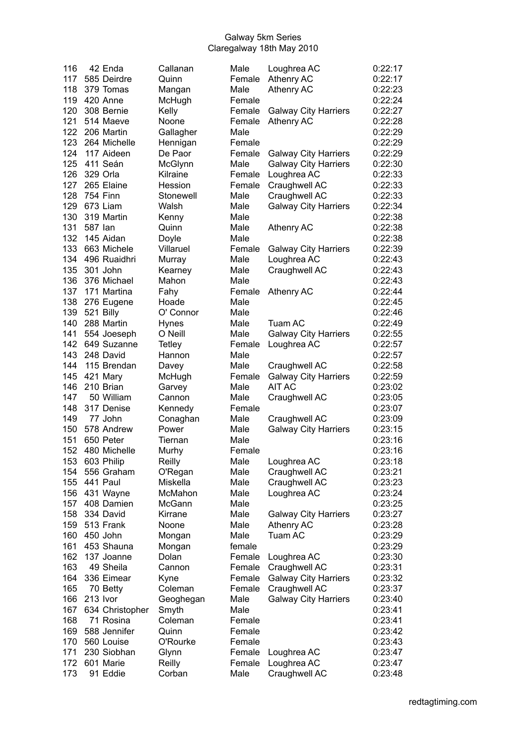| 116 | 42 Enda         | Callanan      | Male   | Loughrea AC                 | 0:22:17 |
|-----|-----------------|---------------|--------|-----------------------------|---------|
| 117 | 585 Deirdre     | Quinn         | Female | <b>Athenry AC</b>           | 0:22:17 |
| 118 | 379 Tomas       | Mangan        | Male   | <b>Athenry AC</b>           | 0:22:23 |
| 119 | 420 Anne        | McHugh        | Female |                             | 0:22:24 |
| 120 | 308 Bernie      | Kelly         | Female | <b>Galway City Harriers</b> | 0:22:27 |
| 121 | 514 Maeve       | Noone         | Female | <b>Athenry AC</b>           | 0:22:28 |
| 122 | 206 Martin      | Gallagher     | Male   |                             | 0:22:29 |
| 123 | 264 Michelle    | Hennigan      | Female |                             | 0:22:29 |
| 124 | 117 Aideen      | De Paor       | Female | <b>Galway City Harriers</b> | 0:22:29 |
| 125 | 411 Seán        | McGlynn       | Male   | <b>Galway City Harriers</b> | 0:22:30 |
| 126 | 329 Orla        | Kilraine      | Female | Loughrea AC                 | 0:22:33 |
| 127 | 265 Elaine      | Hession       | Female | Craughwell AC               | 0:22:33 |
| 128 | <b>754 Finn</b> | Stonewell     | Male   | Craughwell AC               | 0:22:33 |
| 129 | 673 Liam        | Walsh         | Male   | <b>Galway City Harriers</b> | 0:22:34 |
| 130 | 319 Martin      | Kenny         | Male   |                             | 0:22:38 |
| 131 | 587 lan         | Quinn         | Male   | <b>Athenry AC</b>           | 0:22:38 |
| 132 | 145 Aidan       | Doyle         | Male   |                             | 0:22:38 |
| 133 | 663 Michele     | Villaruel     | Female | <b>Galway City Harriers</b> | 0:22:39 |
| 134 | 496 Ruaidhri    | Murray        | Male   | Loughrea AC                 | 0:22:43 |
| 135 | 301 John        | Kearney       | Male   | Craughwell AC               | 0:22:43 |
| 136 | 376 Michael     | Mahon         | Male   |                             | 0:22:43 |
| 137 | 171 Martina     | Fahy          | Female | <b>Athenry AC</b>           | 0:22:44 |
| 138 | 276 Eugene      | Hoade         | Male   |                             | 0:22:45 |
| 139 | 521 Billy       | O' Connor     | Male   |                             | 0:22:46 |
| 140 | 288 Martin      | <b>Hynes</b>  | Male   | Tuam AC                     | 0:22:49 |
| 141 | 554 Joeseph     | O Neill       | Male   | <b>Galway City Harriers</b> | 0:22:55 |
| 142 | 649 Suzanne     | <b>Tetley</b> | Female | Loughrea AC                 | 0:22:57 |
| 143 | 248 David       | Hannon        | Male   |                             | 0:22:57 |
| 144 | 115 Brendan     | Davey         | Male   | Craughwell AC               | 0:22:58 |
| 145 | 421 Mary        | McHugh        | Female | <b>Galway City Harriers</b> | 0:22:59 |
| 146 | 210 Brian       | Garvey        | Male   | AIT AC                      | 0:23:02 |
| 147 | 50 William      | Cannon        | Male   | Craughwell AC               | 0:23:05 |
| 148 | 317 Denise      | Kennedy       | Female |                             | 0:23:07 |
| 149 | 77 John         | Conaghan      | Male   | Craughwell AC               | 0:23:09 |
| 150 | 578 Andrew      | Power         | Male   | <b>Galway City Harriers</b> | 0:23:15 |
| 151 | 650 Peter       | Tiernan       | Male   |                             | 0:23:16 |
| 152 | 480 Michelle    | Murhy         | Female |                             | 0:23:16 |
| 153 | 603 Philip      | Reilly        | Male   | Loughrea AC                 | 0:23:18 |
| 154 | 556 Graham      | O'Regan       | Male   | Craughwell AC               | 0:23:21 |
| 155 | 441 Paul        | Miskella      | Male   | Craughwell AC               | 0:23:23 |
| 156 | 431 Wayne       | McMahon       | Male   | Loughrea AC                 | 0:23:24 |
| 157 | 408 Damien      | McGann        | Male   |                             | 0:23:25 |
| 158 | 334 David       | Kirrane       | Male   | <b>Galway City Harriers</b> | 0:23:27 |
| 159 | 513 Frank       | Noone         | Male   | Athenry AC                  | 0:23:28 |
| 160 | 450 John        | Mongan        | Male   | Tuam AC                     | 0:23:29 |
| 161 | 453 Shauna      | Mongan        | female |                             | 0:23:29 |
| 162 | 137 Joanne      | Dolan         | Female | Loughrea AC                 | 0:23:30 |
| 163 | 49 Sheila       | Cannon        | Female | Craughwell AC               | 0:23:31 |
| 164 | 336 Eimear      | Kyne          | Female | <b>Galway City Harriers</b> | 0:23:32 |
| 165 | 70 Betty        | Coleman       | Female | Craughwell AC               | 0:23:37 |
| 166 | 213 Ivor        | Geoghegan     | Male   | <b>Galway City Harriers</b> | 0:23:40 |
| 167 | 634 Christopher | Smyth         | Male   |                             | 0:23:41 |
| 168 | 71 Rosina       | Coleman       | Female |                             | 0:23:41 |
| 169 | 588 Jennifer    | Quinn         | Female |                             | 0:23:42 |
| 170 | 560 Louise      | O'Rourke      | Female |                             | 0:23:43 |
| 171 | 230 Siobhan     | Glynn         | Female | Loughrea AC                 | 0:23:47 |
| 172 | 601 Marie       | Reilly        | Female | Loughrea AC                 | 0:23:47 |
| 173 | 91 Eddie        | Corban        | Male   | Craughwell AC               | 0:23:48 |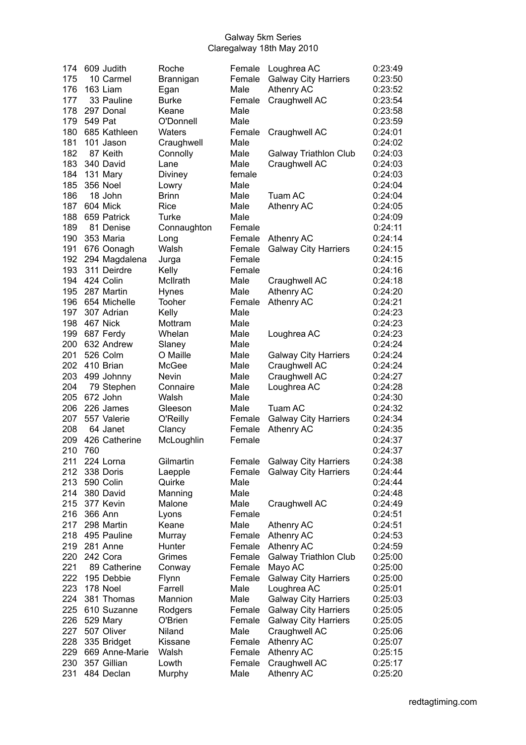| 174<br>175 | 609 Judith<br>10 Carmel | Roche<br>Brannigan    | Female<br>Female | Loughrea AC<br><b>Galway City Harriers</b>    | 0:23:49<br>0:23:50 |
|------------|-------------------------|-----------------------|------------------|-----------------------------------------------|--------------------|
| 176        | 163 Liam                | Egan                  | Male             | Athenry AC                                    | 0:23:52            |
| 177        | 33 Pauline              | <b>Burke</b>          | Female           | Craughwell AC                                 | 0:23:54            |
| 178        | 297 Donal               | Keane                 | Male             |                                               | 0:23:58            |
| 179        | 549 Pat                 | O'Donnell             | Male             |                                               | 0:23:59            |
| 180        | 685 Kathleen            | Waters                | Female           |                                               | 0:24:01            |
| 181        | 101 Jason               |                       | Male             | Craughwell AC                                 | 0:24:02            |
| 182        | 87 Keith                | Craughwell            |                  |                                               | 0:24:03            |
| 183        | 340 David               | Connolly              | Male<br>Male     | <b>Galway Triathlon Club</b><br>Craughwell AC | 0:24:03            |
| 184        | 131 Mary                | Lane                  | female           |                                               | 0:24:03            |
| 185        | 356 Noel                | Diviney               | Male             |                                               | 0:24:04            |
| 186        | 18 John                 | Lowry<br><b>Brinn</b> | Male             |                                               | 0:24:04            |
| 187        |                         |                       |                  | Tuam AC                                       |                    |
| 188        | 604 Mick                | Rice                  | Male<br>Male     | <b>Athenry AC</b>                             | 0:24:05            |
| 189        | 659 Patrick             | Turke                 |                  |                                               | 0:24:09<br>0:24:11 |
|            | 81 Denise               | Connaughton           | Female           |                                               |                    |
| 190        | 353 Maria               | Long<br>Walsh         | Female           | <b>Athenry AC</b>                             | 0:24:14            |
| 191        | 676 Oonagh              |                       | Female           | <b>Galway City Harriers</b>                   | 0:24:15            |
| 192        | 294 Magdalena           | Jurga                 | Female           |                                               | 0:24:15            |
| 193        | 311 Deirdre             | Kelly                 | Female           |                                               | 0:24:16            |
| 194        | 424 Colin               | McIlrath              | Male             | Craughwell AC                                 | 0:24:18            |
| 195        | 287 Martin              | <b>Hynes</b>          | Male             | Athenry AC                                    | 0:24:20            |
| 196        | 654 Michelle            | Tooher                | Female           | <b>Athenry AC</b>                             | 0:24:21            |
| 197        | 307 Adrian              | Kelly                 | Male             |                                               | 0:24:23            |
| 198        | 467 Nick                | Mottram               | Male             |                                               | 0:24:23            |
| 199        | 687 Ferdy               | Whelan                | Male             | Loughrea AC                                   | 0:24:23            |
| 200        | 632 Andrew              | Slaney                | Male             |                                               | 0:24:24            |
| 201        | 526 Colm                | O Maille              | Male             | <b>Galway City Harriers</b>                   | 0:24:24            |
| 202        | 410 Brian               | McGee                 | Male             | Craughwell AC                                 | 0:24:24            |
| 203        | 499 Johnny              | Nevin                 | Male             | Craughwell AC                                 | 0:24:27            |
| 204        | 79 Stephen              | Connaire              | Male             | Loughrea AC                                   | 0:24:28            |
| 205        | 672 John                | Walsh                 | Male             |                                               | 0:24:30            |
| 206        | 226 James               | Gleeson               | Male             | Tuam AC                                       | 0:24:32            |
| 207        | 557 Valerie             | O'Reilly              | Female           | <b>Galway City Harriers</b>                   | 0:24:34            |
| 208        | 64 Janet                | Clancy                | Female           | Athenry AC                                    | 0:24:35            |
| 209        | 426 Catherine           | McLoughlin            | Female           |                                               | 0:24:37            |
| 210        | 760                     |                       |                  |                                               | 0:24:37            |
| 211        | 224 Lorna               | Gilmartin             | Female           | <b>Galway City Harriers</b>                   | 0:24:38            |
| 212        | 338 Doris               | Laepple               | Female           | <b>Galway City Harriers</b>                   | 0:24:44            |
| 213        | 590 Colin               | Quirke                | Male             |                                               | 0:24:44            |
| 214        | 380 David               | Manning               | Male             |                                               | 0:24:48            |
| 215        | 377 Kevin               | Malone                | Male             | Craughwell AC                                 | 0:24:49            |
| 216        | 366 Ann                 | Lyons                 | Female           |                                               | 0:24:51            |
| 217        | 298 Martin              | Keane                 | Male             | Athenry AC                                    | 0:24:51            |
| 218        | 495 Pauline             | Murray                | Female           | Athenry AC                                    | 0:24:53            |
| 219        | 281 Anne                | Hunter                | Female           | Athenry AC                                    | 0:24:59            |
| 220        | 242 Cora                | Grimes                | Female           | <b>Galway Triathlon Club</b>                  | 0:25:00            |
| 221        | 89 Catherine            | Conway                | Female           | Mayo AC                                       | 0:25:00            |
| 222        | 195 Debbie              | Flynn                 | Female           | <b>Galway City Harriers</b>                   | 0:25:00            |
| 223        | 178 Noel                | Farrell               | Male             | Loughrea AC                                   | 0:25:01            |
| 224        | 381 Thomas              | Mannion               | Male             | <b>Galway City Harriers</b>                   | 0:25:03            |
| 225        | 610 Suzanne             | Rodgers               | Female           | <b>Galway City Harriers</b>                   | 0:25:05            |
| 226        | 529 Mary                | O'Brien               | Female           | <b>Galway City Harriers</b>                   | 0:25:05            |
| 227        | 507 Oliver              | Niland                | Male             | Craughwell AC                                 | 0:25:06            |
| 228        | 335 Bridget             | Kissane               | Female           | Athenry AC                                    | 0:25:07            |
| 229        | 669 Anne-Marie          | Walsh                 | Female           | Athenry AC                                    | 0:25:15            |
| 230        | 357 Gillian             | Lowth                 | Female           | Craughwell AC                                 | 0:25:17            |
| 231        | 484 Declan              | Murphy                | Male             | Athenry AC                                    | 0:25:20            |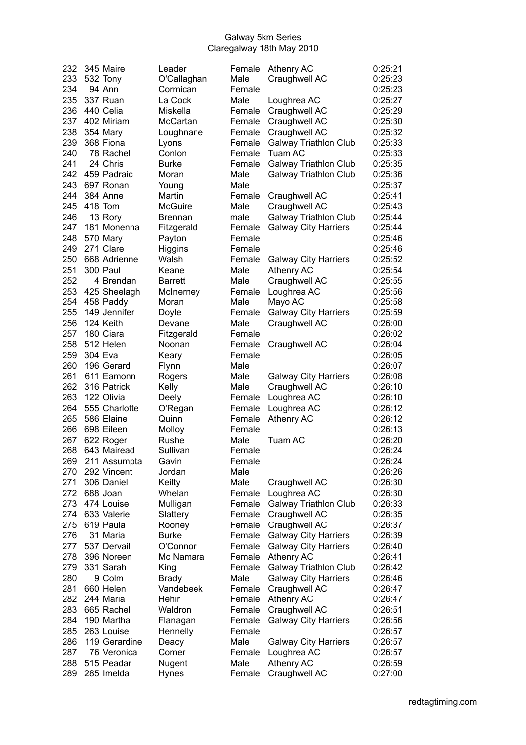| 232 | 345 Maire       | Leader         | Female | <b>Athenry AC</b>            | 0:25:21 |
|-----|-----------------|----------------|--------|------------------------------|---------|
| 233 | 532 Tony        | O'Callaghan    | Male   | Craughwell AC                | 0:25:23 |
| 234 | 94 Ann          | Cormican       | Female |                              | 0:25:23 |
| 235 | 337 Ruan        | La Cock        | Male   | Loughrea AC                  | 0:25:27 |
| 236 | 440 Celia       | Miskella       | Female | Craughwell AC                | 0:25:29 |
| 237 | 402 Miriam      | McCartan       | Female | Craughwell AC                | 0:25:30 |
| 238 | 354 Mary        | Loughnane      | Female | Craughwell AC                | 0:25:32 |
| 239 | 368 Fiona       | Lyons          | Female | <b>Galway Triathlon Club</b> | 0:25:33 |
| 240 | 78 Rachel       | Conlon         | Female | Tuam AC                      | 0:25:33 |
| 241 | 24 Chris        | <b>Burke</b>   | Female | <b>Galway Triathlon Club</b> | 0:25:35 |
| 242 | 459 Padraic     | Moran          | Male   | <b>Galway Triathlon Club</b> | 0:25:36 |
| 243 | 697 Ronan       | Young          | Male   |                              | 0:25:37 |
| 244 | 384 Anne        | Martin         | Female | Craughwell AC                | 0:25:41 |
| 245 | 418 Tom         | <b>McGuire</b> | Male   | Craughwell AC                | 0:25:43 |
| 246 | 13 Rory         | <b>Brennan</b> | male   | <b>Galway Triathlon Club</b> | 0:25:44 |
| 247 | 181 Monenna     | Fitzgerald     | Female | <b>Galway City Harriers</b>  | 0:25:44 |
| 248 | 570 Mary        | Payton         | Female |                              | 0:25:46 |
| 249 | 271 Clare       | Higgins        | Female |                              | 0:25:46 |
| 250 | 668 Adrienne    | Walsh          | Female | <b>Galway City Harriers</b>  | 0:25:52 |
| 251 | <b>300 Paul</b> | Keane          | Male   | <b>Athenry AC</b>            | 0:25:54 |
| 252 | 4 Brendan       | <b>Barrett</b> | Male   | Craughwell AC                | 0:25:55 |
| 253 | 425 Sheelagh    | McInerney      | Female | Loughrea AC                  | 0:25:56 |
| 254 | 458 Paddy       | Moran          | Male   | Mayo AC                      | 0:25:58 |
| 255 | 149 Jennifer    | Doyle          | Female | <b>Galway City Harriers</b>  | 0:25:59 |
| 256 | 124 Keith       | Devane         | Male   | Craughwell AC                | 0:26:00 |
| 257 | 180 Ciara       | Fitzgerald     | Female |                              | 0:26:02 |
| 258 | 512 Helen       | Noonan         | Female | Craughwell AC                | 0:26:04 |
| 259 | 304 Eva         | Keary          | Female |                              | 0:26:05 |
| 260 | 196 Gerard      | Flynn          | Male   |                              | 0:26:07 |
| 261 | 611 Eamonn      | Rogers         | Male   | <b>Galway City Harriers</b>  | 0:26:08 |
| 262 | 316 Patrick     | Kelly          | Male   | Craughwell AC                | 0:26:10 |
| 263 | 122 Olivia      | Deely          | Female | Loughrea AC                  | 0:26:10 |
| 264 | 555 Charlotte   | O'Regan        | Female | Loughrea AC                  | 0:26:12 |
| 265 | 586 Elaine      | Quinn          | Female | <b>Athenry AC</b>            | 0:26:12 |
| 266 | 698 Eileen      | Molloy         | Female |                              | 0:26:13 |
| 267 | 622 Roger       | Rushe          | Male   | <b>Tuam AC</b>               | 0:26:20 |
| 268 | 643 Mairead     | Sullivan       | Female |                              | 0:26:24 |
| 269 | 211 Assumpta    | Gavin          | Female |                              | 0:26:24 |
| 270 | 292 Vincent     | Jordan         | Male   |                              | 0:26:26 |
| 271 | 306 Daniel      | Keilty         | Male   | Craughwell AC                | 0:26:30 |
| 272 | 688 Joan        | Whelan         | Female | Loughrea AC                  | 0:26:30 |
| 273 | 474 Louise      | Mulligan       | Female | <b>Galway Triathlon Club</b> | 0:26:33 |
| 274 | 633 Valerie     | Slattery       | Female | Craughwell AC                | 0:26:35 |
| 275 | 619 Paula       | Rooney         | Female | Craughwell AC                | 0:26:37 |
| 276 | 31 Maria        | <b>Burke</b>   | Female | <b>Galway City Harriers</b>  | 0:26:39 |
| 277 | 537 Dervail     | O'Connor       | Female | <b>Galway City Harriers</b>  | 0:26:40 |
| 278 | 396 Noreen      | Mc Namara      | Female | <b>Athenry AC</b>            | 0:26:41 |
| 279 | 331 Sarah       | King           | Female | <b>Galway Triathlon Club</b> | 0:26:42 |
| 280 | 9 Colm          | <b>Brady</b>   | Male   | <b>Galway City Harriers</b>  | 0:26:46 |
| 281 | 660 Helen       | Vandebeek      | Female | Craughwell AC                | 0:26:47 |
| 282 | 244 Maria       | Hehir          | Female | <b>Athenry AC</b>            | 0:26:47 |
| 283 | 665 Rachel      | Waldron        | Female | Craughwell AC                | 0:26:51 |
| 284 | 190 Martha      | Flanagan       | Female | <b>Galway City Harriers</b>  | 0:26:56 |
| 285 | 263 Louise      | Hennelly       | Female |                              | 0:26:57 |
| 286 | 119 Gerardine   | Deacy          | Male   | <b>Galway City Harriers</b>  | 0:26:57 |
| 287 | 76 Veronica     | Comer          | Female | Loughrea AC                  | 0:26:57 |
| 288 | 515 Peadar      | Nugent         | Male   | <b>Athenry AC</b>            | 0:26:59 |
| 289 | 285 Imelda      | Hynes          | Female | Craughwell AC                | 0:27:00 |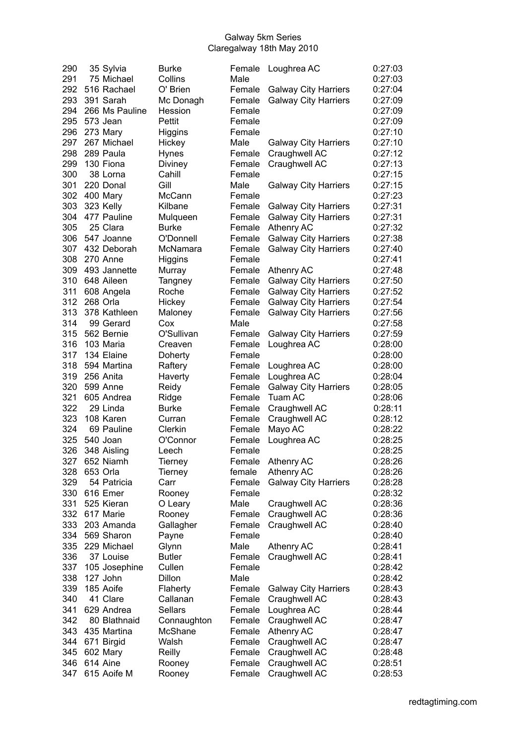| 290 | 35 Sylvia               | <b>Burke</b>    | Female           | Loughrea AC                 | 0:27:03            |
|-----|-------------------------|-----------------|------------------|-----------------------------|--------------------|
| 291 | 75 Michael              | Collins         | Male             |                             | 0:27:03            |
| 292 | 516 Rachael             | O' Brien        | Female           | <b>Galway City Harriers</b> | 0:27:04            |
| 293 | 391 Sarah               | Mc Donagh       | Female           | <b>Galway City Harriers</b> | 0:27:09            |
| 294 | 266 Ms Pauline          | Hession         | Female           |                             | 0:27:09            |
| 295 | 573 Jean                | Pettit          | Female           |                             | 0:27:09            |
| 296 | 273 Mary                | Higgins         | Female           |                             | 0:27:10            |
| 297 | 267 Michael             | Hickey          | Male             | <b>Galway City Harriers</b> | 0:27:10            |
| 298 | 289 Paula               | Hynes           | Female           | Craughwell AC               | 0:27:12            |
| 299 | 130 Fiona               | Diviney         | Female           | Craughwell AC               | 0:27:13            |
| 300 | 38 Lorna                | Cahill          | Female           |                             | 0:27:15            |
| 301 | 220 Donal               | Gill            | Male             | <b>Galway City Harriers</b> | 0:27:15            |
| 302 | 400 Mary                | McCann          | Female           |                             | 0:27:23            |
| 303 | 323 Kelly               | Kilbane         | Female           | <b>Galway City Harriers</b> | 0:27:31            |
| 304 | 477 Pauline             | Mulqueen        | Female           | <b>Galway City Harriers</b> | 0:27:31            |
| 305 | 25 Clara                | <b>Burke</b>    | Female           | <b>Athenry AC</b>           | 0:27:32            |
| 306 | 547 Joanne              | O'Donnell       | Female           | <b>Galway City Harriers</b> | 0:27:38            |
| 307 | 432 Deborah             | McNamara        | Female           | <b>Galway City Harriers</b> | 0:27:40            |
| 308 | 270 Anne                | Higgins         | Female           |                             | 0:27:41            |
| 309 | 493 Jannette            | Murray          | Female           | <b>Athenry AC</b>           | 0:27:48            |
| 310 | 648 Aileen              | Tangney         | Female           | <b>Galway City Harriers</b> | 0:27:50            |
| 311 | 608 Angela              | Roche           | Female           | <b>Galway City Harriers</b> | 0:27:52            |
| 312 | 268 Orla                | Hickey          | Female           | <b>Galway City Harriers</b> | 0:27:54            |
| 313 | 378 Kathleen            | Maloney         | Female           | <b>Galway City Harriers</b> | 0:27:56            |
| 314 | 99 Gerard               | Cox             | Male             |                             | 0:27:58            |
| 315 | 562 Bernie              | O'Sullivan      | Female           | <b>Galway City Harriers</b> | 0:27:59            |
| 316 | 103 Maria               | Creaven         | Female           | Loughrea AC                 | 0:28:00            |
| 317 | 134 Elaine              | Doherty         | Female           |                             | 0:28:00            |
| 318 | 594 Martina             | Raftery         | Female           | Loughrea AC                 | 0:28:00            |
| 319 | 256 Anita               | Haverty         | Female           | Loughrea AC                 | 0:28:04            |
| 320 | 599 Anne                | Reidy           | Female           | <b>Galway City Harriers</b> | 0:28:05            |
| 321 | 605 Andrea              | Ridge           | Female           | <b>Tuam AC</b>              | 0:28:06            |
| 322 | 29 Linda                | <b>Burke</b>    | Female           | Craughwell AC               | 0:28:11            |
| 323 | 108 Karen               | Curran          | Female           | Craughwell AC               | 0:28:12            |
| 324 | 69 Pauline              | Clerkin         | Female           | Mayo AC                     | 0:28:22            |
| 325 | 540 Joan                | O'Connor        | Female           | Loughrea AC                 | 0:28:25            |
| 326 | 348 Aisling             | Leech           | Female           |                             | 0:28:25            |
| 327 | 652 Niamh               |                 | Female           | <b>Athenry AC</b>           | 0:28:26            |
| 328 |                         | Tierney         |                  |                             |                    |
| 329 | 653 Orla<br>54 Patricia | Tierney<br>Carr | female<br>Female | <b>Athenry AC</b>           | 0:28:26<br>0:28:28 |
|     | 616 Emer                |                 | Female           | <b>Galway City Harriers</b> |                    |
| 330 | 525 Kieran              | Rooney          | Male             |                             | 0:28:32            |
| 331 | 617 Marie               | O Leary         |                  | Craughwell AC               | 0:28:36            |
| 332 |                         | Rooney          | Female           | Craughwell AC               | 0:28:36            |
| 333 | 203 Amanda              | Gallagher       | Female           | Craughwell AC               | 0:28:40            |
| 334 | 569 Sharon              | Payne           | Female           |                             | 0:28:40            |
| 335 | 229 Michael             | Glynn           | Male             | <b>Athenry AC</b>           | 0:28:41            |
| 336 | 37 Louise               | <b>Butler</b>   | Female           | Craughwell AC               | 0:28:41            |
| 337 | 105 Josephine           | Cullen          | Female           |                             | 0:28:42            |
| 338 | 127 John                | Dillon          | Male             |                             | 0:28:42            |
| 339 | 185 Aoife               | Flaherty        | Female           | <b>Galway City Harriers</b> | 0:28:43            |
| 340 | 41 Clare                | Callanan        | Female           | Craughwell AC               | 0:28:43            |
| 341 | 629 Andrea              | Sellars         | Female           | Loughrea AC                 | 0:28:44            |
| 342 | 80 Blathnaid            | Connaughton     | Female           | Craughwell AC               | 0:28:47            |
| 343 | 435 Martina             | McShane         | Female           | Athenry AC                  | 0:28:47            |
| 344 | 671 Birgid              | Walsh           | Female           | Craughwell AC               | 0:28:47            |
| 345 | 602 Mary                | Reilly          | Female           | Craughwell AC               | 0:28:48            |
| 346 | 614 Aine                | Rooney          | Female           | Craughwell AC               | 0:28:51            |
| 347 | 615 Aoife M             | Rooney          | Female           | Craughwell AC               | 0:28:53            |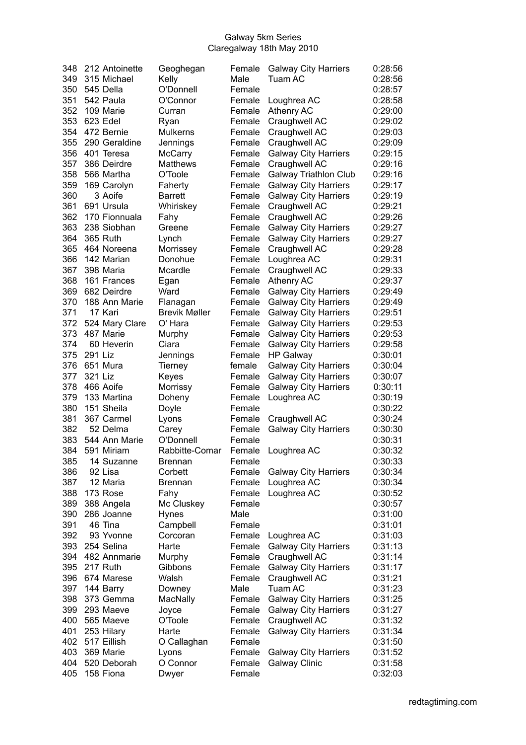| 348 |         | 212 Antoinette | Geoghegan            | Female | <b>Galway City Harriers</b>  | 0:28:56 |
|-----|---------|----------------|----------------------|--------|------------------------------|---------|
| 349 |         | 315 Michael    | Kelly                | Male   | Tuam AC                      | 0:28:56 |
| 350 |         | 545 Della      | O'Donnell            | Female |                              | 0:28:57 |
| 351 |         | 542 Paula      | O'Connor             | Female | Loughrea AC                  | 0:28:58 |
| 352 |         | 109 Marie      | Curran               | Female | <b>Athenry AC</b>            | 0:29:00 |
| 353 |         | 623 Edel       | Ryan                 | Female | Craughwell AC                | 0:29:02 |
| 354 |         | 472 Bernie     | <b>Mulkerns</b>      | Female | Craughwell AC                | 0:29:03 |
| 355 |         | 290 Geraldine  | Jennings             | Female | Craughwell AC                | 0:29:09 |
| 356 |         | 401 Teresa     | McCarry              | Female | <b>Galway City Harriers</b>  | 0:29:15 |
| 357 |         | 386 Deirdre    | <b>Matthews</b>      | Female | Craughwell AC                | 0:29:16 |
| 358 |         | 566 Martha     | O'Toole              | Female | <b>Galway Triathlon Club</b> | 0:29:16 |
| 359 |         | 169 Carolyn    | Faherty              | Female | <b>Galway City Harriers</b>  | 0:29:17 |
| 360 |         | 3 Aoife        | Barrett              | Female | <b>Galway City Harriers</b>  | 0:29:19 |
| 361 |         | 691 Ursula     | Whiriskey            | Female | Craughwell AC                | 0:29:21 |
| 362 |         | 170 Fionnuala  | Fahy                 | Female | Craughwell AC                | 0:29:26 |
| 363 |         | 238 Siobhan    | Greene               | Female | <b>Galway City Harriers</b>  | 0:29:27 |
| 364 |         | 365 Ruth       | Lynch                | Female | <b>Galway City Harriers</b>  | 0:29:27 |
| 365 |         | 464 Noreena    | Morrissey            | Female | Craughwell AC                | 0:29:28 |
| 366 |         | 142 Marian     | Donohue              | Female | Loughrea AC                  | 0:29:31 |
| 367 |         | 398 Maria      | Mcardle              | Female | Craughwell AC                | 0:29:33 |
| 368 |         | 161 Frances    | Egan                 | Female | <b>Athenry AC</b>            | 0:29:37 |
| 369 |         | 682 Deirdre    | Ward                 | Female | <b>Galway City Harriers</b>  | 0:29:49 |
| 370 |         | 188 Ann Marie  | Flanagan             | Female | <b>Galway City Harriers</b>  | 0:29:49 |
| 371 |         | 17 Kari        | <b>Brevik Møller</b> | Female | <b>Galway City Harriers</b>  | 0:29:51 |
| 372 |         | 524 Mary Clare | O' Hara              | Female | <b>Galway City Harriers</b>  | 0:29:53 |
| 373 |         | 487 Marie      | Murphy               | Female | <b>Galway City Harriers</b>  | 0:29:53 |
| 374 |         | 60 Heverin     | Ciara                | Female | <b>Galway City Harriers</b>  | 0:29:58 |
| 375 | 291 Liz |                | Jennings             | Female | <b>HP Galway</b>             | 0:30:01 |
| 376 |         | 651 Mura       | Tierney              | female | <b>Galway City Harriers</b>  | 0:30:04 |
| 377 | 321 Liz |                | Keyes                | Female | <b>Galway City Harriers</b>  | 0:30:07 |
| 378 |         | 466 Aoife      | Morrissy             | Female | <b>Galway City Harriers</b>  | 0:30:11 |
| 379 |         | 133 Martina    | Doheny               | Female | Loughrea AC                  | 0:30:19 |
| 380 |         | 151 Sheila     | Doyle                | Female |                              | 0:30:22 |
| 381 |         | 367 Carmel     | Lyons                | Female | Craughwell AC                | 0:30:24 |
| 382 |         | 52 Delma       | Carey                | Female | <b>Galway City Harriers</b>  | 0:30:30 |
| 383 |         | 544 Ann Marie  | O'Donnell            | Female |                              | 0:30:31 |
| 384 |         | 591 Miriam     | Rabbitte-Comar       | Female | Loughrea AC                  | 0:30:32 |
| 385 |         | 14 Suzanne     | Brennan              | Female |                              | 0:30:33 |
| 386 |         | 92 Lisa        | Corbett              | Female | <b>Galway City Harriers</b>  | 0:30:34 |
| 387 |         | 12 Maria       | <b>Brennan</b>       | Female | Loughrea AC                  | 0:30:34 |
| 388 |         | 173 Rose       | Fahy                 | Female | Loughrea AC                  | 0:30:52 |
| 389 |         | 388 Angela     | Mc Cluskey           | Female |                              | 0:30:57 |
| 390 |         | 286 Joanne     | Hynes                | Male   |                              | 0:31:00 |
| 391 |         | 46 Tina        | Campbell             | Female |                              | 0:31:01 |
| 392 |         | 93 Yvonne      | Corcoran             | Female | Loughrea AC                  | 0:31:03 |
| 393 |         | 254 Selina     | Harte                | Female | <b>Galway City Harriers</b>  | 0:31:13 |
| 394 |         | 482 Annmarie   | Murphy               | Female | Craughwell AC                | 0:31:14 |
| 395 |         | 217 Ruth       | Gibbons              | Female | <b>Galway City Harriers</b>  | 0:31:17 |
| 396 |         | 674 Marese     | Walsh                | Female | Craughwell AC                | 0:31:21 |
| 397 |         | 144 Barry      | Downey               | Male   | Tuam AC                      | 0:31:23 |
| 398 |         | 373 Gemma      | MacNally             | Female | <b>Galway City Harriers</b>  | 0:31:25 |
| 399 |         | 293 Maeve      | Joyce                | Female | <b>Galway City Harriers</b>  | 0:31:27 |
| 400 |         | 565 Maeve      | O'Toole              | Female | Craughwell AC                | 0:31:32 |
| 401 |         | 253 Hilary     | Harte                | Female | <b>Galway City Harriers</b>  | 0:31:34 |
| 402 |         | 517 Eillish    | O Callaghan          | Female |                              | 0:31:50 |
| 403 |         | 369 Marie      | Lyons                | Female | <b>Galway City Harriers</b>  | 0:31:52 |
| 404 |         | 520 Deborah    | O Connor             | Female | <b>Galway Clinic</b>         | 0:31:58 |
| 405 |         | 158 Fiona      | Dwyer                | Female |                              | 0:32:03 |
|     |         |                |                      |        |                              |         |